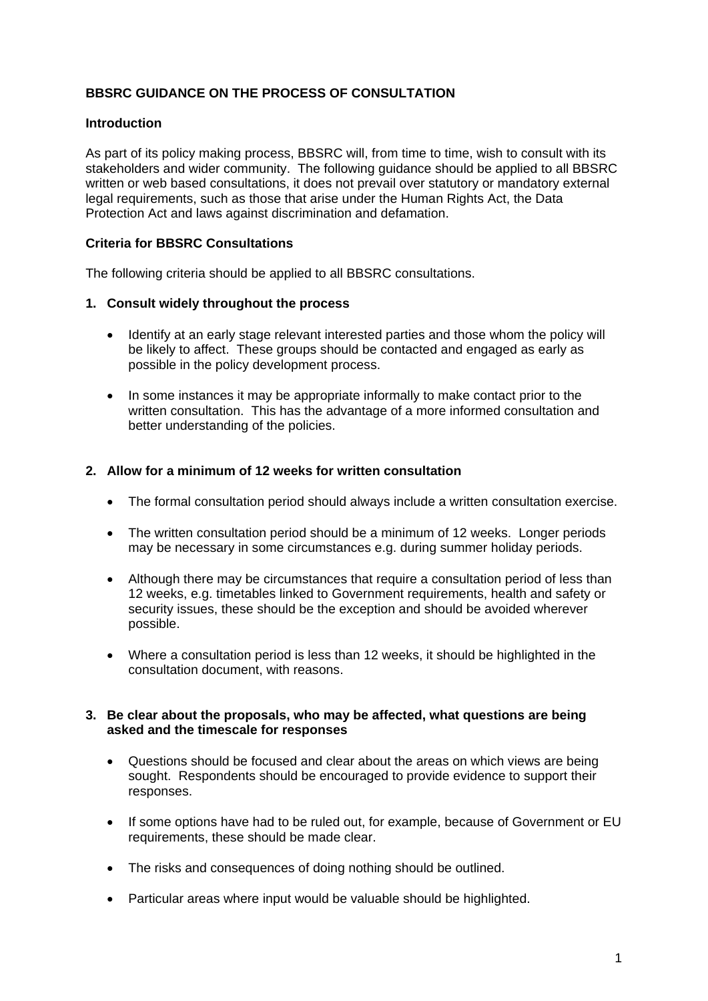# **BBSRC GUIDANCE ON THE PROCESS OF CONSULTATION**

## **Introduction**

As part of its policy making process, BBSRC will, from time to time, wish to consult with its stakeholders and wider community. The following guidance should be applied to all BBSRC written or web based consultations, it does not prevail over statutory or mandatory external legal requirements, such as those that arise under the Human Rights Act, the Data Protection Act and laws against discrimination and defamation.

## **Criteria for BBSRC Consultations**

The following criteria should be applied to all BBSRC consultations.

## **1. Consult widely throughout the process**

- Identify at an early stage relevant interested parties and those whom the policy will be likely to affect. These groups should be contacted and engaged as early as possible in the policy development process.
- In some instances it may be appropriate informally to make contact prior to the written consultation. This has the advantage of a more informed consultation and better understanding of the policies.

## **2. Allow for a minimum of 12 weeks for written consultation**

- The formal consultation period should always include a written consultation exercise.
- The written consultation period should be a minimum of 12 weeks. Longer periods may be necessary in some circumstances e.g. during summer holiday periods.
- Although there may be circumstances that require a consultation period of less than 12 weeks, e.g. timetables linked to Government requirements, health and safety or security issues, these should be the exception and should be avoided wherever possible.
- Where a consultation period is less than 12 weeks, it should be highlighted in the consultation document, with reasons.

#### **3. Be clear about the proposals, who may be affected, what questions are being asked and the timescale for responses**

- Questions should be focused and clear about the areas on which views are being sought. Respondents should be encouraged to provide evidence to support their responses.
- If some options have had to be ruled out, for example, because of Government or EU requirements, these should be made clear.
- The risks and consequences of doing nothing should be outlined.
- Particular areas where input would be valuable should be highlighted.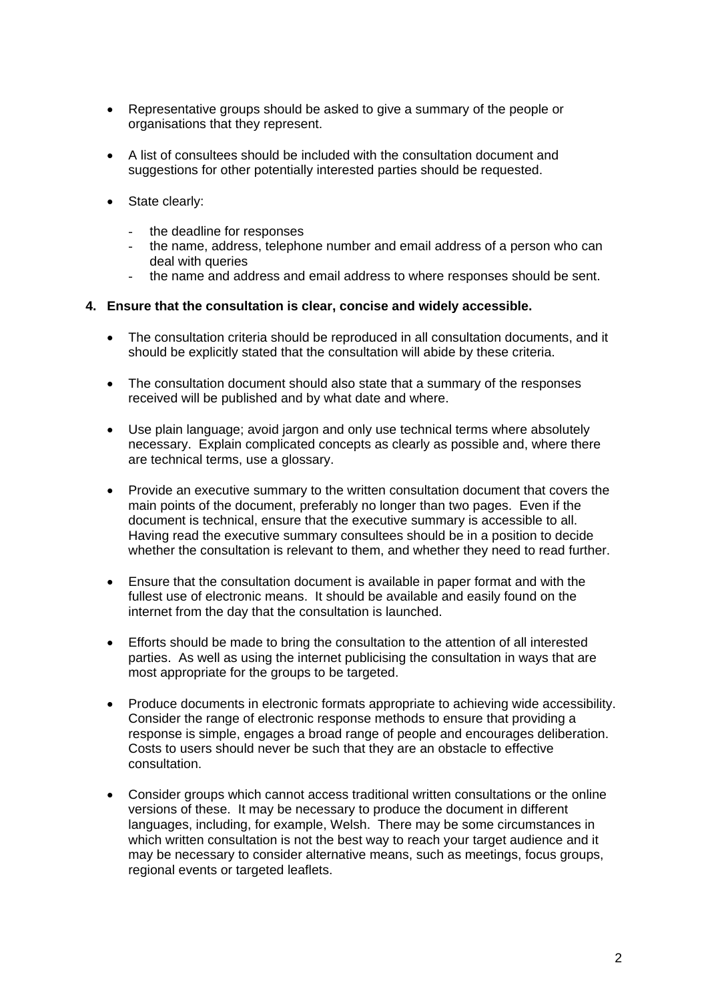- Representative groups should be asked to give a summary of the people or organisations that they represent.
- A list of consultees should be included with the consultation document and suggestions for other potentially interested parties should be requested.
- State clearly:
	- the deadline for responses<br>- the name address telenho
	- the name, address, telephone number and email address of a person who can deal with queries
	- the name and address and email address to where responses should be sent.

#### **4. Ensure that the consultation is clear, concise and widely accessible.**

- The consultation criteria should be reproduced in all consultation documents, and it should be explicitly stated that the consultation will abide by these criteria.
- The consultation document should also state that a summary of the responses received will be published and by what date and where.
- Use plain language; avoid jargon and only use technical terms where absolutely necessary. Explain complicated concepts as clearly as possible and, where there are technical terms, use a glossary.
- Provide an executive summary to the written consultation document that covers the main points of the document, preferably no longer than two pages. Even if the document is technical, ensure that the executive summary is accessible to all. Having read the executive summary consultees should be in a position to decide whether the consultation is relevant to them, and whether they need to read further.
- Ensure that the consultation document is available in paper format and with the fullest use of electronic means. It should be available and easily found on the internet from the day that the consultation is launched.
- Efforts should be made to bring the consultation to the attention of all interested parties. As well as using the internet publicising the consultation in ways that are most appropriate for the groups to be targeted.
- Produce documents in electronic formats appropriate to achieving wide accessibility. Consider the range of electronic response methods to ensure that providing a response is simple, engages a broad range of people and encourages deliberation. Costs to users should never be such that they are an obstacle to effective consultation.
- Consider groups which cannot access traditional written consultations or the online versions of these. It may be necessary to produce the document in different languages, including, for example, Welsh. There may be some circumstances in which written consultation is not the best way to reach your target audience and it may be necessary to consider alternative means, such as meetings, focus groups, regional events or targeted leaflets.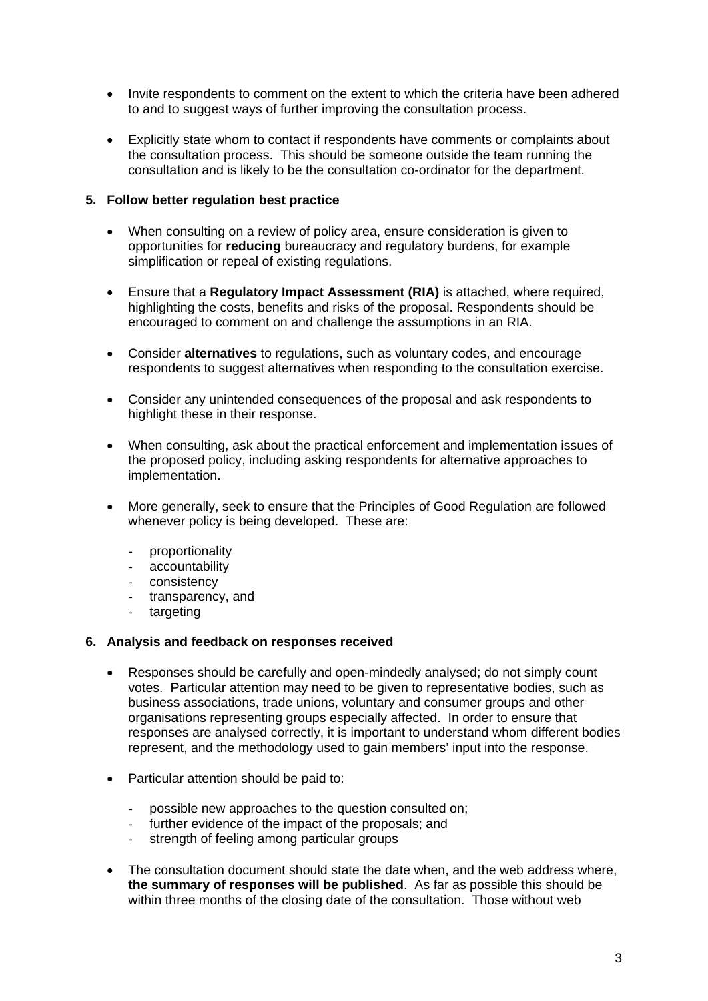- Invite respondents to comment on the extent to which the criteria have been adhered to and to suggest ways of further improving the consultation process.
- Explicitly state whom to contact if respondents have comments or complaints about the consultation process. This should be someone outside the team running the consultation and is likely to be the consultation co-ordinator for the department.

## **5. Follow better regulation best practice**

- When consulting on a review of policy area, ensure consideration is given to opportunities for **reducing** bureaucracy and regulatory burdens, for example simplification or repeal of existing regulations.
- Ensure that a **Regulatory Impact Assessment (RIA)** is attached, where required, highlighting the costs, benefits and risks of the proposal. Respondents should be encouraged to comment on and challenge the assumptions in an RIA.
- Consider **alternatives** to regulations, such as voluntary codes, and encourage respondents to suggest alternatives when responding to the consultation exercise.
- Consider any unintended consequences of the proposal and ask respondents to highlight these in their response.
- When consulting, ask about the practical enforcement and implementation issues of the proposed policy, including asking respondents for alternative approaches to implementation.
- More generally, seek to ensure that the Principles of Good Regulation are followed whenever policy is being developed. These are:
	- proportionality
	- accountability
	- consistency
	- transparency, and
	- targeting

## **6. Analysis and feedback on responses received**

- Responses should be carefully and open-mindedly analysed; do not simply count votes. Particular attention may need to be given to representative bodies, such as business associations, trade unions, voluntary and consumer groups and other organisations representing groups especially affected. In order to ensure that responses are analysed correctly, it is important to understand whom different bodies represent, and the methodology used to gain members' input into the response.
- Particular attention should be paid to:
	- possible new approaches to the question consulted on:
	- further evidence of the impact of the proposals; and
	- strength of feeling among particular groups
- The consultation document should state the date when, and the web address where, **the summary of responses will be published**. As far as possible this should be within three months of the closing date of the consultation. Those without web